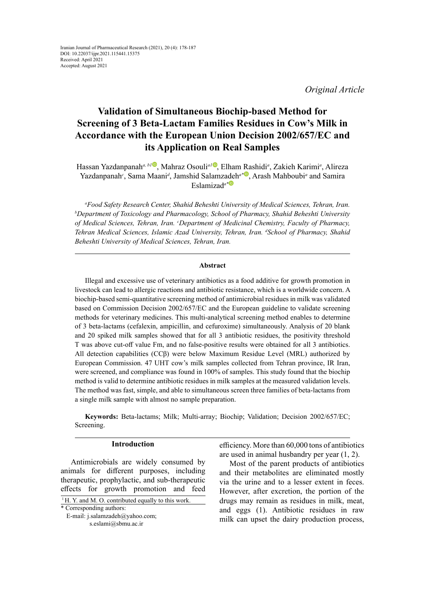*Original Article*

# **Validation of Simultaneous Biochip-based Method for Screening of 3 Beta-Lactam Families Residues in Cow's Milk in Accordance with the European Union Decision 2002/657/EC and its Application on Real Samples**

Hassan Yazdanpanah<sup>a[,](http://: https://orcid.org/0000-0002-2509-5013) b1</sup>[,](https://orcid.org/
0000-0003-4632-5516) Mahraz Osouli<sup>a1</sup>, Elham [Ra](https://orcid.org/0000-0001-6693-5210)shidi<sup>a</sup>, Zakieh Karimi<sup>a</sup>, Alireza Yazdanpanah<sup>c</sup>, Sama Maani<sup>d</sup>, Jamshid Salamz[ade](https://orcid.org/0000-0003-4796-5734)h<sup>a\*</sup>, Arash Mahboubi<sup>a</sup> and Samira Eslamizad*a\**

*a Food Safety Research Center, Shahid Beheshti University of Medical Sciences, Tehran, Iran. b* <sup>*b*</sup>Department of Toxicology and Pharmacology, School of Pharmacy, Shahid Beheshti University *of Medical Sciences, Tehran, Iran. c Department of Medicinal Chemistry, Faculty of Pharmacy, Tehran Medical Sciences, Islamic Azad University, Tehran, Iran. d School of Pharmacy, Shahid Beheshti University of Medical Sciences, Tehran, Iran.*

#### **Abstract**

Illegal and excessive use of veterinary antibiotics as a food additive for growth promotion in livestock can lead to allergic reactions and antibiotic resistance, which is a worldwide concern. A biochip-based semi-quantitative screening method of antimicrobial residues in milk was validated based on Commission Decision 2002/657/EC and the European guideline to validate screening methods for veterinary medicines. This multi-analytical screening method enables to determine of 3 beta-lactams (cefalexin, ampicillin, and cefuroxime) simultaneously. Analysis of 20 blank and 20 spiked milk samples showed that for all 3 antibiotic residues, the positivity threshold T was above cut-off value Fm, and no false-positive results were obtained for all 3 antibiotics. All detection capabilities (CCβ) were below Maximum Residue Level (MRL) authorized by European Commission. 47 UHT cow's milk samples collected from Tehran province, IR Iran, were screened, and compliance was found in 100% of samples. This study found that the biochip method is valid to determine antibiotic residues in milk samples at the measured validation levels. The method was fast, simple, and able to simultaneous screen three families of beta-lactams from a single milk sample with almost no sample preparation.

**Keywords:** Beta-lactams; Milk; Multi-array; Biochip; Validation; Decision 2002/657/EC; Screening.

## **Introduction**

Antimicrobials are widely consumed by animals for different purposes, including therapeutic, prophylactic, and sub-therapeutic effects for growth promotion and feed

 E-mail: j.salamzadeh@yahoo.com; s.eslami@sbmu.ac.ir

efficiency. More than 60,000 tons of antibiotics are used in animal husbandry per year (1, 2).

Most of the parent products of antibiotics and their metabolites are eliminated mostly via the urine and to a lesser extent in feces. However, after excretion, the portion of the drugs may remain as residues in milk, meat, and eggs (1). Antibiotic residues in raw milk can upset the dairy production process,

<sup>\*</sup> Corresponding authors:  $1$ H. Y. and M. O. contributed equally to this work.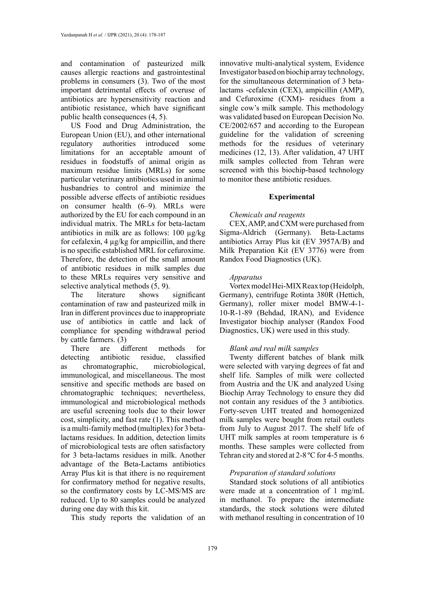and contamination of pasteurized milk causes allergic reactions and gastrointestinal problems in consumers (3). Two of the most important detrimental effects of overuse of antibiotics are hypersensitivity reaction and antibiotic resistance, which have significant public health consequences (4, 5).

US Food and Drug Administration, the European Union (EU), and other international regulatory authorities introduced some limitations for an acceptable amount of residues in foodstuffs of animal origin as maximum residue limits (MRLs) for some particular veterinary antibiotics used in animal husbandries to control and minimize the possible adverse effects of antibiotic residues on consumer health (6–9). MRLs were authorized by the EU for each compound in an individual matrix. The MRLs for beta-lactam antibiotics in milk are as follows: 100 µg/kg for cefalexin, 4 µg/kg for ampicillin, and there is no specific established MRL for cefuroxime. Therefore, the detection of the small amount of antibiotic residues in milk samples due to these MRLs requires very sensitive and selective analytical methods (5, 9).

The literature shows significant contamination of raw and pasteurized milk in Iran in different provinces due to inappropriate use of antibiotics in cattle and lack of compliance for spending withdrawal period by cattle farmers. (3)

There are different methods for detecting antibiotic residue, classified as chromatographic, microbiological, immunological, and miscellaneous. The most sensitive and specific methods are based on chromatographic techniques; nevertheless, immunological and microbiological methods are useful screening tools due to their lower cost, simplicity, and fast rate (1). This method is a multi-family method (multiplex) for 3 betalactams residues. In addition, detection limits of microbiological tests are often satisfactory for 3 beta-lactams residues in milk. Another advantage of the Βeta-Lactams antibiotics Array Plus kit is that ithere is no requirement for confirmatory method for negative results, so the confirmatory costs by LC-MS/MS are reduced. Up to 80 samples could be analyzed during one day with this kit.

This study reports the validation of an

innovative multi-analytical system, Evidence Investigator based on biochip array technology, for the simultaneous determination of 3 betalactams -cefalexin (CEX), ampicillin (AMP), and Cefuroxime (CXM)- residues from a single cow's milk sample. This methodology was validated based on European Decision No. CE/2002/657 and according to the European guideline for the validation of screening methods for the residues of veterinary medicines (12, 13). After validation, 47 UHT milk samples collected from Tehran were screened with this biochip-based technology to monitor these antibiotic residues.

#### **Experimental**

## *Chemicals and reagents*

CEX, AMP, and CXM were purchased from Sigma-Aldrich (Germany). Βeta-Lactams antibiotics Array Plus kit (EV 3957A/B) and Milk Preparation Kit (EV 3776) were from Randox Food Diagnostics (UK).

## *Apparatus*

Vortex model Hei-MIX Reax top (Heidolph, Germany), centrifuge Rotinta 380R (Hettich, Germany), roller mixer model BMW-4-1- 10-R-1-89 (Behdad, IRAN), and Evidence Investigator biochip analyser (Randox Food Diagnostics, UK) were used in this study.

# *Blank and real milk samples*

Twenty different batches of blank milk were selected with varying degrees of fat and shelf life. Samples of milk were collected from Austria and the UK and analyzed Using Biochip Array Technology to ensure they did not contain any residues of the 3 antibiotics. Forty-seven UHT treated and homogenized milk samples were bought from retail outlets from July to August 2017. The shelf life of UHT milk samples at room temperature is 6 months. These samples were collected from Tehran city and stored at 2-8 ºC for 4-5 months.

# *Preparation of standard solutions*

Standard stock solutions of all antibiotics were made at a concentration of 1 mg/mL in methanol. To prepare the intermediate standards, the stock solutions were diluted with methanol resulting in concentration of 10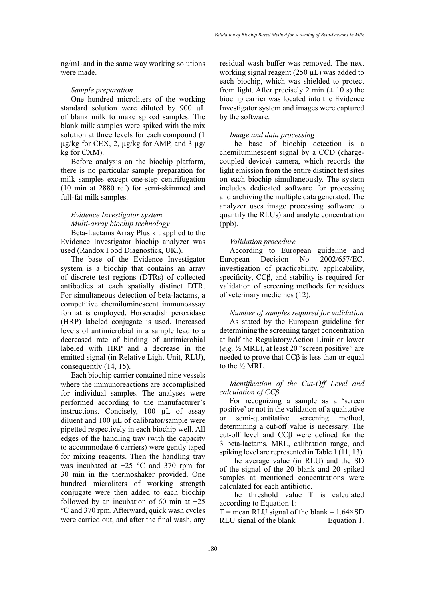ng/mL and in the same way working solutions were made.

#### *Sample preparation*

One hundred microliters of the working standard solution were diluted by 900 µL of blank milk to make spiked samples. The blank milk samples were spiked with the mix solution at three levels for each compound (1  $\mu$ g/kg for CEX, 2,  $\mu$ g/kg for AMP, and 3  $\mu$ g/ kg for CXM).

Before analysis on the biochip platform, there is no particular sample preparation for milk samples except one-step centrifugation (10 min at 2880 rcf) for semi-skimmed and full-fat milk samples.

# *Evidence Investigator system Multi-array biochip technology*

Beta-Lactams Array Plus kit applied to the Evidence Investigator biochip analyzer was used (Randox Food Diagnostics, UK.).

The base of the Evidence Investigator system is a biochip that contains an array of discrete test regions (DTRs) of collected antibodies at each spatially distinct DTR. For simultaneous detection of beta-lactams, a competitive chemiluminescent immunoassay format is employed. Horseradish peroxidase (HRP) labeled conjugate is used. Increased levels of antimicrobial in a sample lead to a decreased rate of binding of antimicrobial labeled with HRP and a decrease in the emitted signal (in Relative Light Unit, RLU), consequently (14, 15).

Each biochip carrier contained nine vessels where the immunoreactions are accomplished for individual samples. The analyses were performed according to the manufacturer's instructions. Concisely, 100 µL of assay diluent and 100 µL of calibrator/sample were pipetted respectively in each biochip well. All edges of the handling tray (with the capacity to accommodate 6 carriers) were gently taped for mixing reagents. Then the handling tray was incubated at  $+25$  °C and 370 rpm for 30 min in the thermoshaker provided. One hundred microliters of working strength conjugate were then added to each biochip followed by an incubation of 60 min at  $+25$ °C and 370 rpm. Afterward, quick wash cycles were carried out, and after the final wash, any

residual wash buffer was removed. The next working signal reagent  $(250 \mu L)$  was added to each biochip, which was shielded to protect from light. After precisely 2 min  $(\pm 10 \text{ s})$  the biochip carrier was located into the Evidence Investigator system and images were captured by the software.

## *Image and data processing*

The base of biochip detection is a chemiluminescent signal by a CCD (chargecoupled device) camera, which records the light emission from the entire distinct test sites on each biochip simultaneously. The system includes dedicated software for processing and archiving the multiple data generated. The analyzer uses image processing software to quantify the RLUs) and analyte concentration (ppb).

#### *Validation procedure*

According to European guideline and European Decision No 2002/657/EC, investigation of practicability, applicability, specificity, CCβ, and stability is required for validation of screening methods for residues of veterinary medicines (12).

*Number of samples required for validation* As stated by the European guideline for determining the screening target concentration at half the Regulatory/Action Limit or lower (*e.g.* ½ MRL), at least 20 "screen positive" are needed to prove that CCβ is less than or equal to the ½ MRL.

# *Identification of the Cut-Off Level and calculation of CCβ*

For recognizing a sample as a 'screen positive' or not in the validation of a qualitative or semi-quantitative screening method, determining a cut-off value is necessary. The cut-off level and CCβ were defined for the 3 beta-lactams. MRL, calibration range, and spiking level are represented in Table 1 (11, 13).

The average value (in RLU) and the SD of the signal of the 20 blank and 20 spiked samples at mentioned concentrations were calculated for each antibiotic.

The threshold value T is calculated according to Equation 1:

 $T =$  mean RLU signal of the blank – 1.64×SD RLU signal of the blank Equation 1.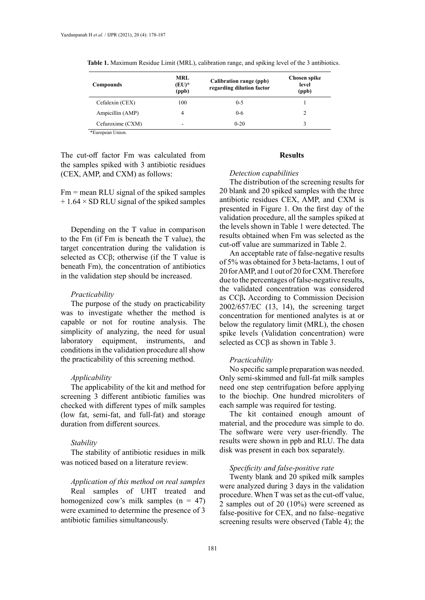| Compounds        | <b>MRL</b><br>$(EU)^*$<br>(ppb) | Calibration range (ppb)<br>regarding dilution factor | <b>Chosen spike</b><br>level<br>(ppb) |
|------------------|---------------------------------|------------------------------------------------------|---------------------------------------|
| Cefalexin (CEX)  | 100                             | $0 - 5$                                              |                                       |
| Ampicillin (AMP) | 4                               | $0 - 6$                                              | 2                                     |
| Cefuroxime (CXM) | ۰                               | $0 - 20$                                             | 3                                     |
| *European Union. |                                 |                                                      |                                       |

**Table 1.** Maximum Residue Limit (MRL), calibration range, and spiking level of the 3 antibiotics. **Table 1.** Maximum Residue Limit (MRL), calibration range, and spiking level of the 3 antibiotics.

The cut-off factor Fm was calculated from the samples spiked with 3 antibiotic residues (CEX, AMP, and CXM) as follows:

 $Fm$  = mean RLU signal of the spiked samples  $+ 1.64 \times SD$  RLU signal of the spiked samples

Depending on the T value in comparison to the Fm (if Fm is beneath the T value), the target concentration during the validation is selected as CCβ; otherwise (if the T value is beneath Fm), the concentration of antibiotics in the validation step should be increased.

#### *Practicability*

The purpose of the study on practicability was to investigate whether the method is capable or not for routine analysis. The simplicity of analyzing, the need for usual laboratory equipment, instruments, and conditions in the validation procedure all show the practicability of this screening method.

#### *Applicability*

The applicability of the kit and method for screening 3 different antibiotic families was checked with different types of milk samples (low fat, semi-fat, and full-fat) and storage duration from different sources.

#### *Stability*

The stability of antibiotic residues in milk was noticed based on a literature review.

#### *Application of this method on real samples*

Real samples of UHT treated and homogenized cow's milk samples  $(n = 47)$ were examined to determine the presence of 3 antibiotic families simultaneously.

## **Results**

#### *Detection capabilities*

The distribution of the screening results for 20 blank and 20 spiked samples with the three antibiotic residues CEX, AMP, and CXM is presented in Figure 1. On the first day of the validation procedure, all the samples spiked at the levels shown in Table 1 were detected. The results obtained when Fm was selected as the cut-off value are summarized in Table 2.

An acceptable rate of false-negative results of 5% was obtained for 3 beta-lactams, 1 out of 20 for AMP, and 1 out of 20 for CXM. Therefore due to the percentages of false-negative results, the validated concentration was considered as CCβ**.** According to Commission Decision 2002/657/EC (13, 14), the screening target concentration for mentioned analytes is at or below the regulatory limit (MRL), the chosen spike levels (Validation concentration) were selected as CCβ as shown in Table 3.

### *Practicability*

No specific sample preparation was needed. Only semi-skimmed and full-fat milk samples need one step centrifugation before applying to the biochip. One hundred microliters of each sample was required for testing.

The kit contained enough amount of material, and the procedure was simple to do. The software were very user-friendly. The results were shown in ppb and RLU. The data disk was present in each box separately.

## *Specificity and false-positive rate*

Twenty blank and 20 spiked milk samples were analyzed during 3 days in the validation procedure. When T was set as the cut-off value, 2 samples out of 20 (10%) were screened as false-positive for CEX, and no false–negative screening results were observed (Table 4); the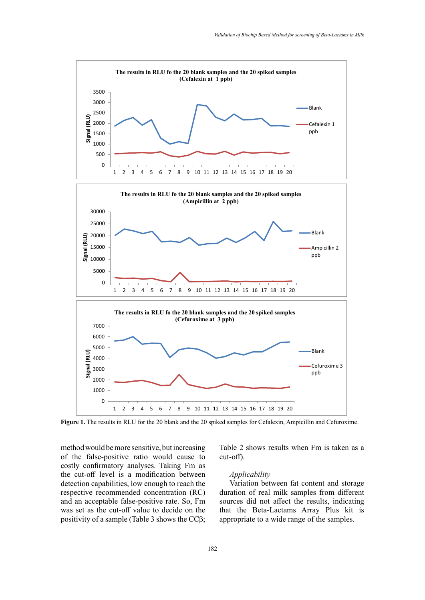

**Figure 1.** The results in RLU for the 20 blank and the 20 spiked samples for Cefalexin, Ampicillin and Cefuroxime.

method would be more sensitive, but increasing of the false-positive ratio would cause to costly confirmatory analyses. Taking Fm as the cut-off level is a modification between detection capabilities, low enough to reach the respective recommended concentration (RC) and an acceptable false-positive rate. So, Fm was set as the cut-off value to decide on the positivity of a sample (Table 3 shows the CCβ;

Table 2 shows results when Fm is taken as a cut-off). Ampicillin and Cefuroxime.

#### *Applicability*

Variation between fat content and storage duration of real milk samples from different sources did not affect the results, indicating that the Beta-Lactams Array Plus kit is appropriate to a wide range of the samples.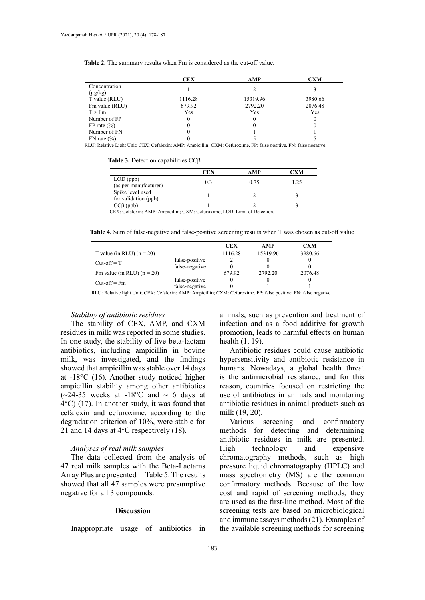|                               | <b>CEX</b> | AMP      | <b>CXM</b> |
|-------------------------------|------------|----------|------------|
| Concentration<br>$(\mu g/kg)$ |            |          |            |
| T value (RLU)                 | 1116.28    | 15319.96 | 3980.66    |
| Fm value (RLU)                | 679.92     | 2792.20  | 2076.48    |
| T > Fm                        | Yes        | Yes      | Yes        |
| Number of FP                  | 0          | 0        | 0          |
| FP rate $(\% )$               | 0          | 0        | 0          |
| Number of FN                  | 0          |          |            |
| $FN$ rate $(\% )$             |            |          |            |

**Table 2.** The summary results when Fm is considered as the cut-off value. **Table 2.** The summary results when Fm is considered as the cut-off value.

RLU: Relative Light Unit; CEX: Cefalexin; AMP: Ampicillin; CXM: Cefuroxime, FP: false positive, FN: false negative.

| Table 3. Detection capabilities $CC\beta$ . |  |
|---------------------------------------------|--|
|---------------------------------------------|--|

|                                          | CEX | AMP  | CXM  |
|------------------------------------------|-----|------|------|
| $LOD$ (ppb)<br>(as per manufacturer)     | 0.3 | 0.75 | 1.25 |
| Spike level used<br>for validation (ppb) |     |      |      |
| $CC\beta$ (ppb)                          |     |      |      |

CEX: Cefalexin; AMP: Ampicillin; CXM: Cefuroxime; LOD; Limit of Detection.

**Table 4.** Sum of false-negative and false-positive screening results when T was chosen as cut-off value. **Table 4.** Sum of false-negative and false-positive screening results when T was chosen as cut-off value.

| CEX<br>AMP                                                                                                                                                                                                                                                                                                                                                                                                             | CXM     |
|------------------------------------------------------------------------------------------------------------------------------------------------------------------------------------------------------------------------------------------------------------------------------------------------------------------------------------------------------------------------------------------------------------------------|---------|
| 15319.96<br>1116.28<br>T value (in RLU) $(n = 20)$                                                                                                                                                                                                                                                                                                                                                                     | 3980.66 |
| false-positive<br>$Cut-off = T$                                                                                                                                                                                                                                                                                                                                                                                        |         |
| false-negative                                                                                                                                                                                                                                                                                                                                                                                                         |         |
| Fm value (in RLU) $(n = 20)$<br>2792.20<br>679.92                                                                                                                                                                                                                                                                                                                                                                      | 2076.48 |
| false-positive<br>$Cut-off = Fm$                                                                                                                                                                                                                                                                                                                                                                                       |         |
| false-negative<br>$\cdots$<br>$\mathbf{m}$ $\mathbf{c}$ 1<br><b>TTT T1 </b><br>T37.01<br>$1'$ , $1'$ , $1''$ , $1''$ , $1''$ , $1''$ , $1''$ , $1''$ , $1''$ , $1''$ , $1''$ , $1''$ , $1''$ , $1''$ , $1''$ , $1''$ , $1''$ , $1''$ , $1''$ , $1''$ , $1''$ , $1''$ , $1''$ , $1''$ , $1''$ , $1''$ , $1''$ , $1''$ , $1''$ , $1''$ , $1''$ , $1''$ , $1''$ , $1''$ , $1''$ , $1''$ , $1''$ ,<br>$\alpha$<br>$\cdots$ |         |

RLU: Relative light Unit; CEX: Cefalexin; AMP: Ampicillin; CXM: Cefuroxime, FP: false positive, FN: false negative.

#### *Stability of antibiotic residues*

The stability of CEX, AMP, and CXM residues in milk was reported in some studies. In one study, the stability of five beta-lactam antibiotics, including ampicillin in bovine milk, was investigated, and the findings showed that ampicillin was stable over 14 days at -18°C (16). Another study noticed higher ampicillin stability among other antibiotics  $(-24-35$  weeks at  $-18$ °C and  $\sim 6$  days at 4°C) (17). In another study, it was found that cefalexin and cefuroxime, according to the degradation criterion of 10%, were stable for 21 and 14 days at 4°C respectively (18).

# *Analyses of real milk samples*

The data collected from the analysis of 47 real milk samples with the Beta-Lactams Array Plus are presented in Table 5. The results showed that all 47 samples were presumptive negative for all 3 compounds.

## **Discussion**

Inappropriate usage of antibiotics in

animals, such as prevention and treatment of infection and as a food additive for growth promotion, leads to harmful effects on human health (1, 19).

Antibiotic residues could cause antibiotic hypersensitivity and antibiotic resistance in humans. Nowadays, a global health threat is the antimicrobial resistance, and for this reason, countries focused on restricting the use of antibiotics in animals and monitoring antibiotic residues in animal products such as milk (19, 20).

Various screening and confirmatory methods for detecting and determining antibiotic residues in milk are presented. High technology and expensive chromatography methods, such as high pressure liquid chromatography (HPLC) and mass spectrometry (MS) are the common confirmatory methods. Because of the low cost and rapid of screening methods, they are used as the first-line method. Most of the screening tests are based on microbiological and immune assays methods (21). Examples of the available screening methods for screening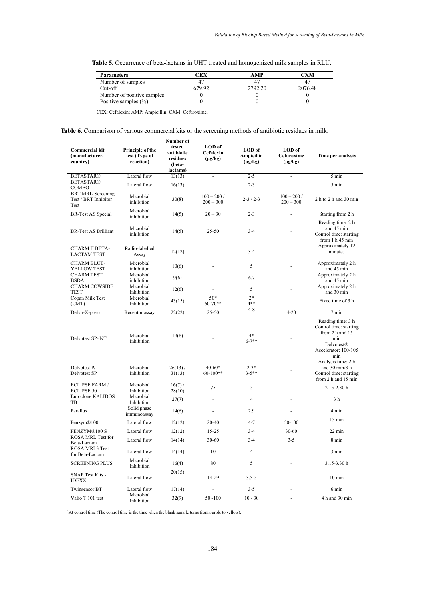| <b>Table 5.</b> Occurrence of beta-lactams in UHT treated and homogenized milk samples in RLU. |  |  |  |  |  |  |  |  |  |  |  |  |  |  |  |  |  |  |  |
|------------------------------------------------------------------------------------------------|--|--|--|--|--|--|--|--|--|--|--|--|--|--|--|--|--|--|--|
|------------------------------------------------------------------------------------------------|--|--|--|--|--|--|--|--|--|--|--|--|--|--|--|--|--|--|--|

| <b>Parameters</b>          | CEX    | AMP     | $\mathbb C$ XM |
|----------------------------|--------|---------|----------------|
| Number of samples          |        |         |                |
| $Cut-off$                  | 679.92 | 2792.20 | 2076.48        |
| Number of positive samples |        |         |                |
| Positive samples $(\% )$   |        |         |                |

CEX: Cefalexin; AMP: Ampicillin; CXM: Cefuroxime.

**Table 6.** Comparison of various commercial kits or the screening methods of antibiotic residues in milk.

| <b>Commercial kit</b><br>(manufacturer,<br>country)      | Principle of the<br>test (Type of<br>reaction) | Number of<br>tested<br>antibiotic<br>residues<br>(beta-<br>lactams) | LOD of<br>Cefalexin<br>$(\mu g/kg)$ | LOD of<br>Ampicillin<br>$(\mu g/kg)$ | LOD of<br>Cefuroxime<br>$(\mu g/kg)$ | Time per analysis                                                                                                         |
|----------------------------------------------------------|------------------------------------------------|---------------------------------------------------------------------|-------------------------------------|--------------------------------------|--------------------------------------|---------------------------------------------------------------------------------------------------------------------------|
| <b>BETASTAR®</b>                                         | Lateral flow                                   | 13(13)                                                              | $\overline{a}$                      | $2 - 5$                              | $\blacksquare$                       | 5 min                                                                                                                     |
| <b>BETASTAR®</b><br>COMBO                                | Lateral flow                                   | 16(13)                                                              |                                     | $2 - 3$                              |                                      | 5 min                                                                                                                     |
| <b>BRT MRL-Screening</b><br>Test / BRT Inhibitor<br>Test | Microbial<br>inhibition                        | 30(8)                                                               | $100 - 200/$<br>$200 - 300$         | $2 - 3 / 2 - 3$                      | $100 - 200/$<br>$200 - 300$          | 2 h to 2 h and 30 min                                                                                                     |
| <b>BR-Test AS Special</b>                                | Microbial<br>inhibition                        | 14(5)                                                               | $20 - 30$                           | $2 - 3$                              |                                      | Starting from 2 h                                                                                                         |
| <b>BR-Test AS Brilliant</b>                              | Microbial<br>inhibition                        | 14(5)                                                               | $25 - 50$                           | $3 - 4$                              |                                      | Reading time: 2 h<br>and 45 min<br>Control time: starting<br>from 1 h 45 min<br>Approximately 12                          |
| CHARM II BETA-<br><b>LACTAM TEST</b>                     | Radio-labelled<br>Assay                        | 12(12)                                                              |                                     | $3 - 4$                              |                                      | minutes                                                                                                                   |
| <b>CHARM BLUE-</b><br>YELLOW TEST                        | Microbial<br>inhibition                        | 10(6)                                                               |                                     | 5                                    |                                      | Approximately 2 h<br>and 45 min                                                                                           |
| <b>CHARM TEST</b><br><b>BSDA</b>                         | Microbial<br>inhibition                        | 9(6)                                                                |                                     | 6.7                                  |                                      | Approximately 2 h<br>and 45 min                                                                                           |
| <b>CHARM COWSIDE</b><br><b>TEST</b>                      | Microbial<br>Inhibition                        | 12(6)                                                               |                                     | 5                                    |                                      | Approximately 2 h<br>and 30 min                                                                                           |
| Copan Milk Test<br>(CMT)                                 | Microbial<br>Inhibition                        | 43(15)                                                              | $50*$<br>$60 - 70**$                | $2*$<br>$4**$                        |                                      | Fixed time of 3 h                                                                                                         |
| Delvo-X-press                                            | Receptor assay                                 | 22(22)                                                              | $25 - 50$                           | $4 - 8$                              | $4 - 20$                             | 7 min                                                                                                                     |
| Delvotest SP-NT                                          | Microbial<br>Inhibition                        | 19(8)                                                               |                                     | $4*$<br>$6 - 7$ **                   |                                      | Reading time: 3 h<br>Control time: starting<br>from 2 h and 15<br>min<br><b>Delvotest®</b><br>Accelerator: 100-105<br>min |
| Delvotest P/                                             | Microbial                                      | $26(13)$ /                                                          | $40 - 60*$                          | $2 - 3*$                             |                                      | Analysis time: 2 h<br>and $30 \text{ min}/3$ h                                                                            |
| Delvotest SP                                             | Inhibition                                     | 31(13)                                                              | $60-100**$                          | $3 - 5**$                            |                                      | Control time: starting<br>from 2 h and 15 min                                                                             |
| <b>ECLIPSE FARM /</b><br><b>ECLIPSE 50</b>               | Microbial<br>Inhibition                        | $16(7)$ /<br>28(10)                                                 | 75                                  | 5                                    |                                      | 2.15-2.30h                                                                                                                |
| Euroclone KALIDOS<br>TB                                  | Microbial<br>Inhibition                        | 27(7)                                                               | ÷.                                  | $\overline{4}$                       |                                      | 3 h                                                                                                                       |
| Parallux                                                 | Solid phase<br>immunoassay                     | 14(6)                                                               |                                     | 2.9                                  |                                      | 4 min                                                                                                                     |
| Penzym <sup>®100</sup>                                   | Lateral flow                                   | 12(12)                                                              | $20 - 40$                           | $4 - 7$                              | 50-100                               | $15 \text{ min}$                                                                                                          |
| PENZYM®100 S                                             | Lateral flow                                   | 12(12)                                                              | $15 - 25$                           | $3 - 4$                              | $30 - 60$                            | $22 \text{ min}$                                                                                                          |
| ROSA MRL Test for<br>Beta-Lactam                         | Lateral flow                                   | 14(14)                                                              | $30 - 60$                           | $3 - 4$                              | $3 - 5$                              | 8 min                                                                                                                     |
| ROSA MRL3 Test<br>for Beta-Lactam                        | Lateral flow                                   | 14(14)                                                              | 10                                  | $\overline{4}$                       | ä,                                   | $3 \text{ min}$                                                                                                           |
| <b>SCREENING PLUS</b>                                    | Microbial<br>Inhibition                        | 16(4)                                                               | 80                                  | 5                                    |                                      | $3.15 - 3.30 h$                                                                                                           |
| SNAP Test Kits -<br><b>IDEXX</b>                         | Lateral flow                                   | 20(15)                                                              | 14-29                               | $3.5 - 5$                            |                                      | $10 \text{ min}$                                                                                                          |
| <b>Twinsensor BT</b>                                     | Lateral flow                                   | 17(14)                                                              |                                     | $3 - 5$                              |                                      | $6 \text{ min}$                                                                                                           |
| Valio T 101 test                                         | Microbial<br>Inhibition                        | 32(9)                                                               | $50 - 100$                          | $10 - 30$                            | ä,                                   | 4 h and 30 min                                                                                                            |

\* At control time (The control time is the time when the blank sample turns from purple to yellow).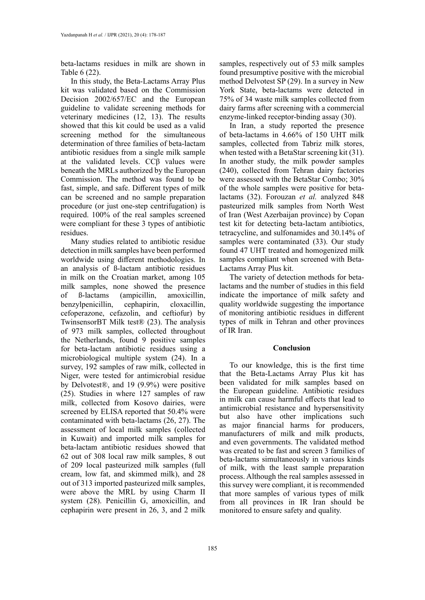beta-lactams residues in milk are shown in Table 6 (22).

In this study, the Beta-Lactams Array Plus kit was validated based on the Commission Decision 2002/657/EC and the European guideline to validate screening methods for veterinary medicines (12, 13). The results showed that this kit could be used as a valid screening method for the simultaneous determination of three families of beta-lactam antibiotic residues from a single milk sample at the validated levels. CCβ values were beneath the MRLs authorized by the European Commission. The method was found to be fast, simple, and safe. Different types of milk can be screened and no sample preparation procedure (or just one-step centrifugation) is required. 100% of the real samples screened were compliant for these 3 types of antibiotic residues.

Many studies related to antibiotic residue detection in milk samples have been performed worldwide using different methodologies. In an analysis of ß-lactam antibiotic residues in milk on the Croatian market, among 105 milk samples, none showed the presence of ß-lactams (ampicillin, amoxicillin, benzylpenicillin, cephapirin, cloxacillin, cefoperazone, cefazolin, and ceftiofur) by TwinsensorBT Milk test® (23). The analysis of 973 milk samples, collected throughout the Netherlands, found 9 positive samples for beta-lactam antibiotic residues using a microbiological multiple system (24). In a survey, 192 samples of raw milk, collected in Niger, were tested for antimicrobial residue by Delvotest®, and 19 (9.9%) were positive (25). Studies in where 127 samples of raw milk, collected from Kosovo dairies, were screened by ELISA reported that 50.4% were contaminated with beta-lactams (26, 27). The assessment of local milk samples (collected in Kuwait) and imported milk samples for beta-lactam antibiotic residues showed that 62 out of 308 local raw milk samples, 8 out of 209 local pasteurized milk samples (full cream, low fat, and skimmed milk), and 28 out of 313 imported pasteurized milk samples, were above the MRL by using Charm II system (28). Penicillin G, amoxicillin, and cephapirin were present in 26, 3, and 2 milk

samples, respectively out of 53 milk samples found presumptive positive with the microbial method Delvotest SP (29). In a survey in New York State, beta-lactams were detected in 75% of 34 waste milk samples collected from dairy farms after screening with a commercial enzyme-linked receptor-binding assay (30).

In Iran, a study reported the presence of beta-lactams in 4.66% of 150 UHT milk samples, collected from Tabriz milk stores, when tested with a BetaStar screening kit (31). In another study, the milk powder samples (240), collected from Tehran dairy factories were assessed with the BetaStar Combo; 30% of the whole samples were positive for betalactams (32). Forouzan *et al.* analyzed 848 pasteurized milk samples from North West of Iran (West Azerbaijan province) by Copan test kit for detecting beta-lactam antibiotics, tetracycline, and sulfonamides and 30.14% of samples were contaminated (33). Our study found 47 UHT treated and homogenized milk samples compliant when screened with Beta-Lactams Array Plus kit.

The variety of detection methods for betalactams and the number of studies in this field indicate the importance of milk safety and quality worldwide suggesting the importance of monitoring antibiotic residues in different types of milk in Tehran and other provinces of IR Iran.

#### **Conclusion**

To our knowledge, this is the first time that the Beta-Lactams Array Plus kit has been validated for milk samples based on the European guideline. Antibiotic residues in milk can cause harmful effects that lead to antimicrobial resistance and hypersensitivity but also have other implications such as major financial harms for producers, manufacturers of milk and milk products, and even governments. The validated method was created to be fast and screen 3 families of beta-lactams simultaneously in various kinds of milk, with the least sample preparation process. Although the real samples assessed in this survey were compliant, it is recommended that more samples of various types of milk from all provinces in IR Iran should be monitored to ensure safety and quality.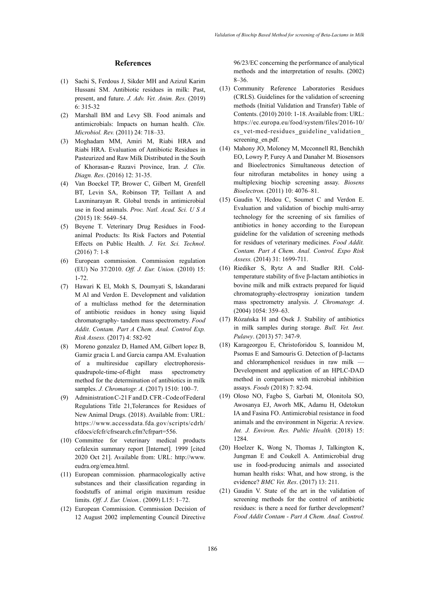#### **References**

- (1) Sachi S, Ferdous J, Sikder MH and Azizul Karim Hussani SM. Antibiotic residues in milk: Past, present, and future. *J. Adv. Vet. Anim. Res.* (2019) 6: 315-32
- (2) Marshall BM and Levy SB. Food animals and antimicrobials: Impacts on human health. *Clin. Microbiol. Rev.* (2011) 24: 718–33.
- (3) Moghadam MM, Amiri M, Riabi HRA and Riabi HRA. Evaluation of Antibiotic Residues in Pasteurized and Raw Milk Distributed in the South of Khorasan-e Razavi Province, Iran. *J. Clin. Diagn. Res*. (2016) 12: 31-35.
- (4) Van Boeckel TP, Brower C, Gilbert M, Grenfell BT, Levin SA, Robinson TP, Teillant A and Laxminarayan R. Global trends in antimicrobial use in food animals. *Proc. Natl. Acad. Sci. U S A*  (2015) 18: 5649–54.
- (5) Beyene T. Veterinary Drug Residues in Foodanimal Products: Its Risk Factors and Potential Effects on Public Health. *J. Vet. Sci. Technol*. (2016) 7: 1-8
- (6) European commission. Commission regulation (EU) No 37/2010. *Off. J. Eur. Union.* (2010) 15: 1-72.
- (7) Hawari K El, Mokh S, Doumyati S, Iskandarani M Al and Verdon E. Development and validation of a multiclass method for the determination of antibiotic residues in honey using liquid chromatography- tandem mass spectrometry. *Food Addit. Contam. Part A Chem. Anal. Control Exp. Risk Assess.* (2017) 4: 582-92
- (8) Moreno gonzalez D, Hamed AM, Gilbert lopez B, Gamiz gracia L and Garcia campa AM. Evaluation of a multiresidue capillary electrophoresisquadrupole-time-of-flight mass spectrometry method for the determination of antibiotics in milk samples. *J. Chromatogr. A.* (2017) 1510: 100–7.
- (9) Administration C-21 F and D. CFR Code of Federal Regulations Title 21,Tolerances for Residues of New Animal Drugs. (2018). Available from: URL: https://www.accessdata.fda.gov/scripts/cdrh/ cfdocs/cfcfr/cfrsearch.cfm?cfrpart=556.
- (10) Committee for veterinary medical products cefalexin summary report [Internet]. 1999 [cited 2020 Oct 21]. Available from: URL: http://www. eudra.org/emea.html.
- (11) European commission. pharmacologically active substances and their classification regarding in foodstuffs of animal origin maximum residue limits. *Off. J. Eur. Union..* (2009) L15: 1–72.
- (12) European Commission. Commission Decision of 12 August 2002 implementing Council Directive

96/23/EC concerning the performance of analytical methods and the interpretation of results. (2002) 8–36.

- (13) Community Reference Laboratories Residues (CRLS). Guidelines for the validation of screening methods (Initial Validation and Transfer) Table of Contents. (2010) 2010: 1-18. Available from: URL: https://ec.europa.eu/food/system/files/2016-10/ cs\_vet-med-residues\_guideline\_validation\_ screening\_en.pdf.
- (14) Mahony JO, Moloney M, Mcconnell RI, Benchikh EO, Lowry P, Furey A and Danaher M. Biosensors and Bioelectronics Simultaneous detection of four nitrofuran metabolites in honey using a multiplexing biochip screening assay. *Biosens Bioelectron.* (2011) 10: 4076–81.
- (15) Gaudin V, Hedou C, Soumet C and Verdon E. Evaluation and validation of biochip multi-array technology for the screening of six families of antibiotics in honey according to the European guideline for the validation of screening methods for residues of veterinary medicines. *Food Addit. Contam. Part A Chem. Anal. Control. Expo Risk Assess.* (2014) 31: 1699-711.
- (16) Riediker S, Rytz A and Stadler RH. Coldtemperature stability of five β-lactam antibiotics in bovine milk and milk extracts prepared for liquid chromatography-electrospray ionization tandem mass spectrometry analysis. *J. Chromatogr. A*. (2004) 1054: 359–63.
- (17) Rózańska H and Osek J. Stability of antibiotics in milk samples during storage. *Bull. Vet. Inst. Pulawy*. (2013) 57: 347-9.
- (18) Karageorgou E, Christoforidou S, Ioannidou M, Psomas E and Samouris G. Detection of β-lactams and chloramphenicol residues in raw milk — Development and application of an HPLC-DAD method in comparison with microbial inhibition assays. *Foods* (2018) 7: 82-94.
- (19) Oloso NO, Fagbo S, Garbati M, Olonitola SO, Awosanya EJ, Aworh MK, Adamu H, Odetokun IA and Fasina FO. Antimicrobial resistance in food animals and the environment in Nigeria: A review. *Int. J. Environ. Res. Public Health.* (2018) 15: 1284.
- (20) Hoelzer K, Wong N, Thomas J, Talkington K, Jungman E and Coukell A. Antimicrobial drug use in food-producing animals and associated human health risks: What, and how strong, is the evidence? *BMC Vet. Res*. (2017) 13: 211.
- (21) Gaudin V. State of the art in the validation of screening methods for the control of antibiotic residues: is there a need for further development? *Food Addit Contam - Part A Chem. Anal. Control.*